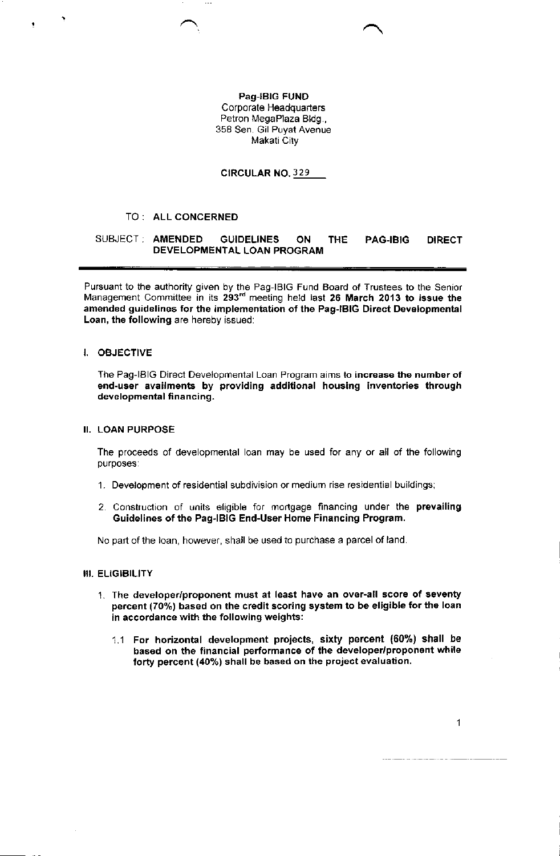Pag-lBlc FUND Corporate Headquarters Petron MegaPlaza Bldg., 358 Sen Gil Puyat Avenue Makati City

CIRCULAR NO. 329

## TO: ALL CONCERNED

# SUBJECT: AMENDED GUIDELINES ON THE PAG-IBIG DIRECT DEVELOPMENTAL LOAN PROGRAM

Pursuant to the authority given by the Pag-IBIG Fund Board of Trustees to the Senior Management Committee in its 293<sup>rd</sup> meeting held last 26 March 2013 to issue the amended guidelines for the implementation of the Pag-IBIG Direct Developmental Loan, the following are hereby issued:

## I. OBJECTIVE

The Pag-lBlG Direct Developmental Loan Program aims to increase the number of end-user availments by providing additional housing inventories through developmental financing.

# II. LOAN PURPOSE

The proceeds of developmental loan may be used for any or all of the following purposes:

- <sup>1</sup>. Development of residential subdivision or medium rise residential bui'dings;
- 2. Construction of units eligible for mortgage flnancing under the prevailing Guidelines of the Pag-IBIG End-User Home Financing Program.

No part of the loan, however, shall be used to purchase a parcel of land.

## III. ELIGIBILITY

- 1. The developer/proponent must at least have an over-all score of seventy percent (70%) based on the credit scoring system to be eligible for the loan in accordance with the following weights:
	- 1.1 For horizontal development projects, sixty percent (60%) shall be based on the financial performance of the developer/proponent while forty percent (40%) shall be based on the project evaluation.

 $\mathbf{1}$